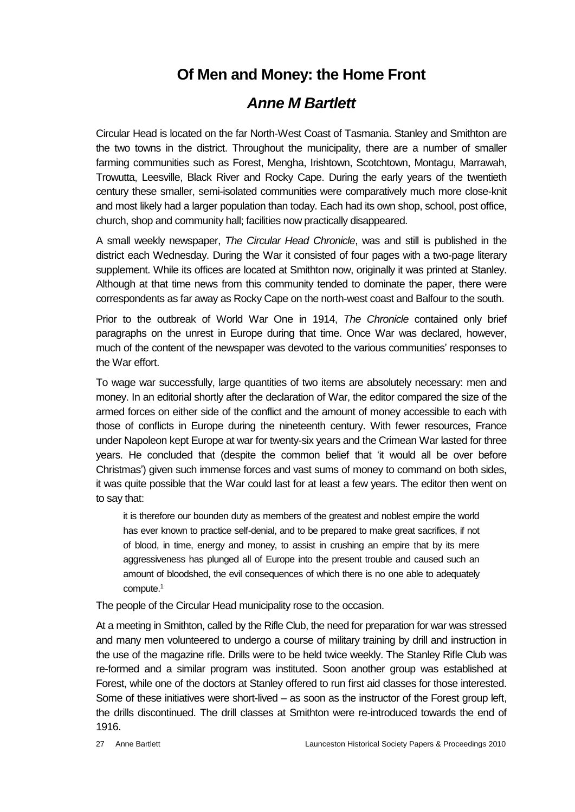## **Of Men and Money: the Home Front**

## *Anne M Bartlett*

Circular Head is located on the far North-West Coast of Tasmania. Stanley and Smithton are the two towns in the district. Throughout the municipality, there are a number of smaller farming communities such as Forest, Mengha, Irishtown, Scotchtown, Montagu, Marrawah, Trowutta, Leesville, Black River and Rocky Cape. During the early years of the twentieth century these smaller, semi-isolated communities were comparatively much more close-knit and most likely had a larger population than today. Each had its own shop, school, post office, church, shop and community hall; facilities now practically disappeared.

A small weekly newspaper, *The Circular Head Chronicle*, was and still is published in the district each Wednesday. During the War it consisted of four pages with a two-page literary supplement. While its offices are located at Smithton now, originally it was printed at Stanley. Although at that time news from this community tended to dominate the paper, there were correspondents as far away as Rocky Cape on the north-west coast and Balfour to the south.

Prior to the outbreak of World War One in 1914, *The Chronicle* contained only brief paragraphs on the unrest in Europe during that time. Once War was declared, however, much of the content of the newspaper was devoted to the various communities' responses to the War effort.

To wage war successfully, large quantities of two items are absolutely necessary: men and money. In an editorial shortly after the declaration of War, the editor compared the size of the armed forces on either side of the conflict and the amount of money accessible to each with those of conflicts in Europe during the nineteenth century. With fewer resources, France under Napoleon kept Europe at war for twenty-six years and the Crimean War lasted for three years. He concluded that (despite the common belief that 'it would all be over before Christmas') given such immense forces and vast sums of money to command on both sides, it was quite possible that the War could last for at least a few years. The editor then went on to say that:

it is therefore our bounden duty as members of the greatest and noblest empire the world has ever known to practice self-denial, and to be prepared to make great sacrifices, if not of blood, in time, energy and money, to assist in crushing an empire that by its mere aggressiveness has plunged all of Europe into the present trouble and caused such an amount of bloodshed, the evil consequences of which there is no one able to adequately compute.<sup>1</sup>

The people of the Circular Head municipality rose to the occasion.

At a meeting in Smithton, called by the Rifle Club, the need for preparation for war was stressed and many men volunteered to undergo a course of military training by drill and instruction in the use of the magazine rifle. Drills were to be held twice weekly. The Stanley Rifle Club was re-formed and a similar program was instituted. Soon another group was established at Forest, while one of the doctors at Stanley offered to run first aid classes for those interested. Some of these initiatives were short-lived – as soon as the instructor of the Forest group left, the drills discontinued. The drill classes at Smithton were re-introduced towards the end of 1916.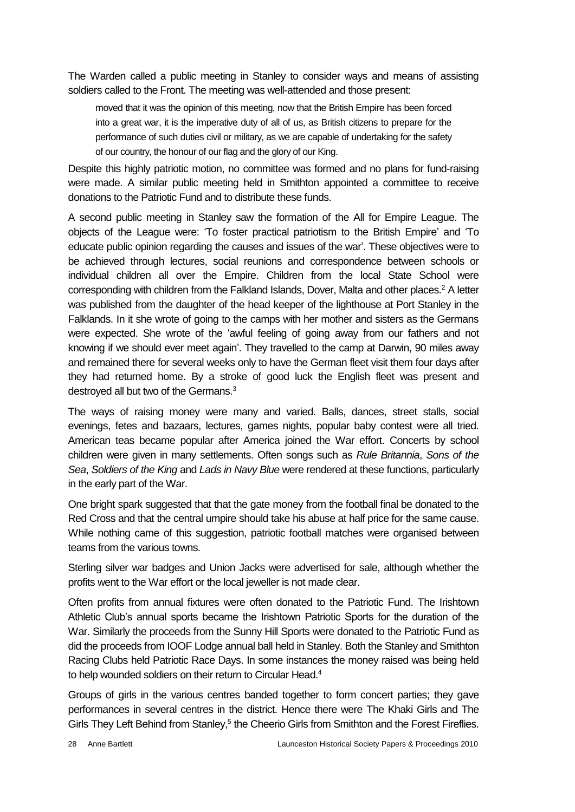The Warden called a public meeting in Stanley to consider ways and means of assisting soldiers called to the Front. The meeting was well-attended and those present:

moved that it was the opinion of this meeting, now that the British Empire has been forced into a great war, it is the imperative duty of all of us, as British citizens to prepare for the performance of such duties civil or military, as we are capable of undertaking for the safety of our country, the honour of our flag and the glory of our King.

Despite this highly patriotic motion, no committee was formed and no plans for fund-raising were made. A similar public meeting held in Smithton appointed a committee to receive donations to the Patriotic Fund and to distribute these funds.

A second public meeting in Stanley saw the formation of the All for Empire League. The objects of the League were: 'To foster practical patriotism to the British Empire' and 'To educate public opinion regarding the causes and issues of the war'. These objectives were to be achieved through lectures, social reunions and correspondence between schools or individual children all over the Empire. Children from the local State School were corresponding with children from the Falkland Islands, Dover, Malta and other places.<sup>2</sup> A letter was published from the daughter of the head keeper of the lighthouse at Port Stanley in the Falklands. In it she wrote of going to the camps with her mother and sisters as the Germans were expected. She wrote of the 'awful feeling of going away from our fathers and not knowing if we should ever meet again'. They travelled to the camp at Darwin, 90 miles away and remained there for several weeks only to have the German fleet visit them four days after they had returned home. By a stroke of good luck the English fleet was present and destroyed all but two of the Germans.<sup>3</sup>

The ways of raising money were many and varied. Balls, dances, street stalls, social evenings, fetes and bazaars, lectures, games nights, popular baby contest were all tried. American teas became popular after America joined the War effort. Concerts by school children were given in many settlements. Often songs such as *Rule Britannia*, *Sons of the Sea*, *Soldiers of the King* and *Lads in Navy Blue* were rendered at these functions, particularly in the early part of the War.

One bright spark suggested that that the gate money from the football final be donated to the Red Cross and that the central umpire should take his abuse at half price for the same cause. While nothing came of this suggestion, patriotic football matches were organised between teams from the various towns.

Sterling silver war badges and Union Jacks were advertised for sale, although whether the profits went to the War effort or the local jeweller is not made clear.

Often profits from annual fixtures were often donated to the Patriotic Fund. The Irishtown Athletic Club's annual sports became the Irishtown Patriotic Sports for the duration of the War. Similarly the proceeds from the Sunny Hill Sports were donated to the Patriotic Fund as did the proceeds from IOOF Lodge annual ball held in Stanley. Both the Stanley and Smithton Racing Clubs held Patriotic Race Days. In some instances the money raised was being held to help wounded soldiers on their return to Circular Head.<sup>4</sup>

Groups of girls in the various centres banded together to form concert parties; they gave performances in several centres in the district. Hence there were The Khaki Girls and The Girls They Left Behind from Stanley,<sup>5</sup> the Cheerio Girls from Smithton and the Forest Fireflies.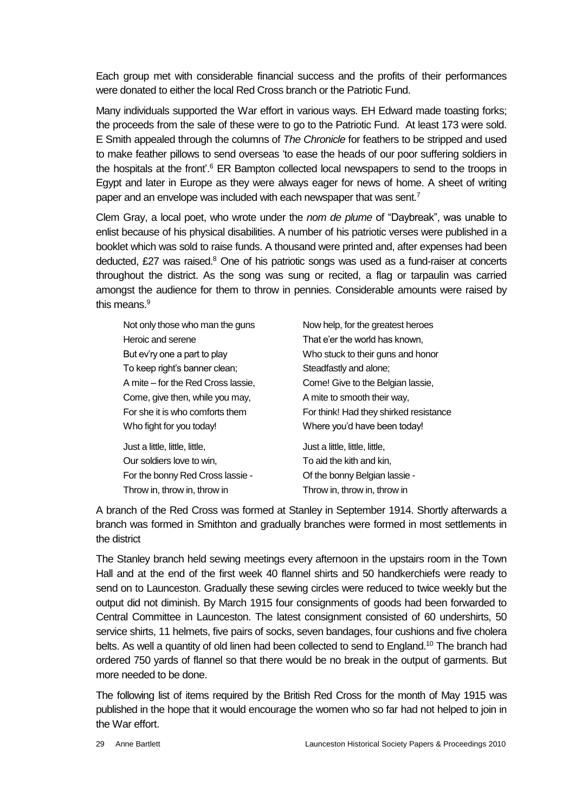Each group met with considerable financial success and the profits of their performances were donated to either the local Red Cross branch or the Patriotic Fund.

Many individuals supported the War effort in various ways. EH Edward made toasting forks; the proceeds from the sale of these were to go to the Patriotic Fund. At least 173 were sold. E Smith appealed through the columns of *The Chronicle* for feathers to be stripped and used to make feather pillows to send overseas 'to ease the heads of our poor suffering soldiers in the hospitals at the front'.<sup>6</sup> ER Bampton collected local newspapers to send to the troops in Egypt and later in Europe as they were always eager for news of home. A sheet of writing paper and an envelope was included with each newspaper that was sent.<sup>7</sup>

Clem Gray, a local poet, who wrote under the *nom de plume* of "Daybreak", was unable to enlist because of his physical disabilities. A number of his patriotic verses were published in a booklet which was sold to raise funds. A thousand were printed and, after expenses had been deducted, £27 was raised.<sup>8</sup> One of his patriotic songs was used as a fund-raiser at concerts throughout the district. As the song was sung or recited, a flag or tarpaulin was carried amongst the audience for them to throw in pennies. Considerable amounts were raised by this means  $9$ 

| Not only those who man the guns    | Now help, for the greatest heroes      |
|------------------------------------|----------------------------------------|
| Heroic and serene                  | That e'er the world has known,         |
| But ev'ry one a part to play       | Who stuck to their guns and honor      |
| To keep right's banner clean;      | Steadfastly and alone;                 |
| A mite - for the Red Cross lassie, | Come! Give to the Belgian lassie,      |
| Come, give then, while you may,    | A mite to smooth their way,            |
| For she it is who comforts them    | For think! Had they shirked resistance |
| Who fight for you today!           | Where you'd have been today!           |
| Just a little, little, little,     | Just a little, little, little,         |
| Our soldiers love to win,          | To aid the kith and kin,               |
| For the bonny Red Cross lassie -   | Of the bonny Belgian lassie -          |
| Throw in throw in throw in         | Throw in, throw in, throw in           |

A branch of the Red Cross was formed at Stanley in September 1914. Shortly afterwards a branch was formed in Smithton and gradually branches were formed in most settlements in the district

The Stanley branch held sewing meetings every afternoon in the upstairs room in the Town Hall and at the end of the first week 40 flannel shirts and 50 handkerchiefs were ready to send on to Launceston. Gradually these sewing circles were reduced to twice weekly but the output did not diminish. By March 1915 four consignments of goods had been forwarded to Central Committee in Launceston. The latest consignment consisted of 60 undershirts, 50 service shirts, 11 helmets, five pairs of socks, seven bandages, four cushions and five cholera belts. As well a quantity of old linen had been collected to send to England.<sup>10</sup> The branch had ordered 750 yards of flannel so that there would be no break in the output of garments. But more needed to be done.

The following list of items required by the British Red Cross for the month of May 1915 was published in the hope that it would encourage the women who so far had not helped to join in the War effort.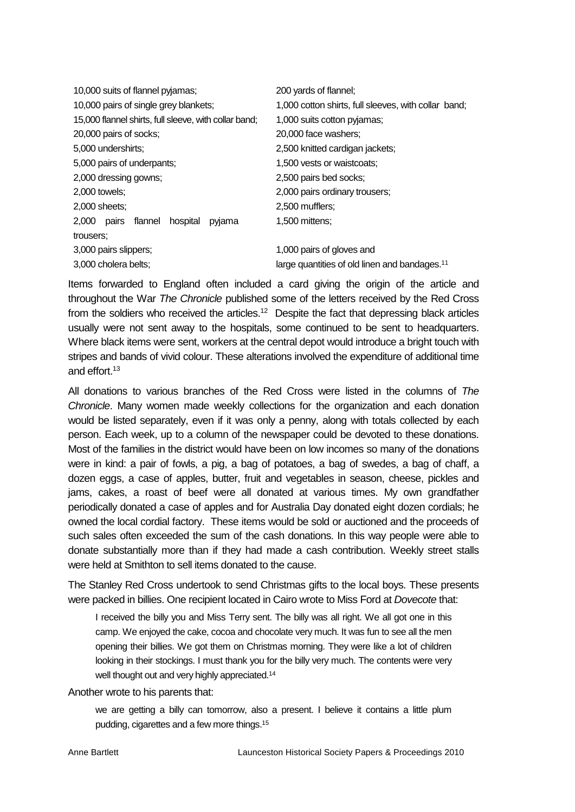| 10,000 suits of flannel pyjamas;                      | 200 yards of flannel;                                     |
|-------------------------------------------------------|-----------------------------------------------------------|
| 10,000 pairs of single grey blankets;                 | 1,000 cotton shirts, full sleeves, with collar band;      |
| 15,000 flannel shirts, full sleeve, with collar band; | 1,000 suits cotton pyjamas;                               |
| 20,000 pairs of socks;                                | 20,000 face washers;                                      |
| 5,000 undershirts;                                    | 2,500 knitted cardigan jackets;                           |
| 5,000 pairs of underpants;                            | 1,500 vests or waistcoats;                                |
| 2,000 dressing gowns;                                 | 2,500 pairs bed socks;                                    |
| 2,000 towels;                                         | 2,000 pairs ordinary trousers;                            |
| 2,000 sheets;                                         | 2,500 mufflers;                                           |
| $2,000$ pairs<br>flannel<br>hospital<br>pyjama        | 1,500 mittens:                                            |
| trousers:                                             |                                                           |
| 3,000 pairs slippers;                                 | 1,000 pairs of gloves and                                 |
| 3,000 cholera belts;                                  | large quantities of old linen and bandages. <sup>11</sup> |

Items forwarded to England often included a card giving the origin of the article and throughout the War *The Chronicle* published some of the letters received by the Red Cross from the soldiers who received the articles.<sup>12</sup> Despite the fact that depressing black articles usually were not sent away to the hospitals, some continued to be sent to headquarters. Where black items were sent, workers at the central depot would introduce a bright touch with stripes and bands of vivid colour. These alterations involved the expenditure of additional time and effort.<sup>13</sup>

All donations to various branches of the Red Cross were listed in the columns of *The Chronicle*. Many women made weekly collections for the organization and each donation would be listed separately, even if it was only a penny, along with totals collected by each person. Each week, up to a column of the newspaper could be devoted to these donations. Most of the families in the district would have been on low incomes so many of the donations were in kind: a pair of fowls, a pig, a bag of potatoes, a bag of swedes, a bag of chaff, a dozen eggs, a case of apples, butter, fruit and vegetables in season, cheese, pickles and jams, cakes, a roast of beef were all donated at various times. My own grandfather periodically donated a case of apples and for Australia Day donated eight dozen cordials; he owned the local cordial factory. These items would be sold or auctioned and the proceeds of such sales often exceeded the sum of the cash donations. In this way people were able to donate substantially more than if they had made a cash contribution. Weekly street stalls were held at Smithton to sell items donated to the cause.

The Stanley Red Cross undertook to send Christmas gifts to the local boys. These presents were packed in billies. One recipient located in Cairo wrote to Miss Ford at *Dovecote* that:

I received the billy you and Miss Terry sent. The billy was all right. We all got one in this camp. We enjoyed the cake, cocoa and chocolate very much. It was fun to see all the men opening their billies. We got them on Christmas morning. They were like a lot of children looking in their stockings. I must thank you for the billy very much. The contents were very well thought out and very highly appreciated.<sup>14</sup>

Another wrote to his parents that:

we are getting a billy can tomorrow, also a present. I believe it contains a little plum pudding, cigarettes and a few more things.15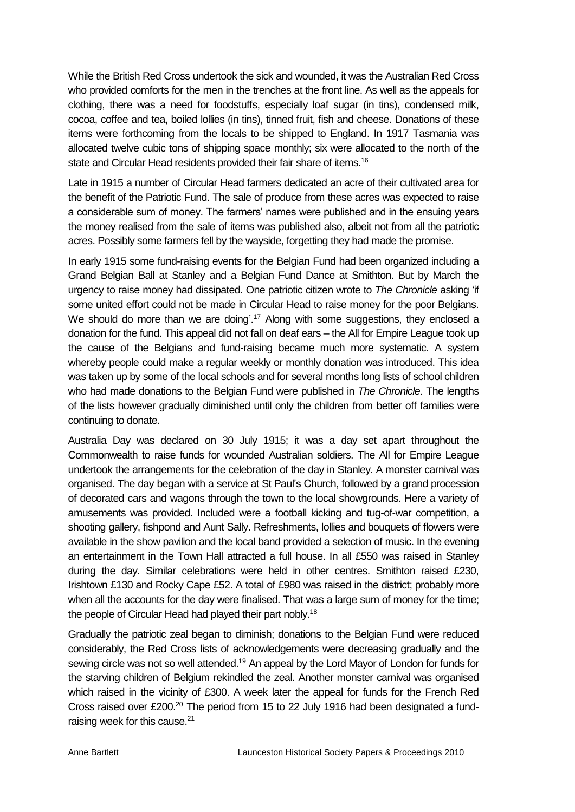While the British Red Cross undertook the sick and wounded, it was the Australian Red Cross who provided comforts for the men in the trenches at the front line. As well as the appeals for clothing, there was a need for foodstuffs, especially loaf sugar (in tins), condensed milk, cocoa, coffee and tea, boiled lollies (in tins), tinned fruit, fish and cheese. Donations of these items were forthcoming from the locals to be shipped to England. In 1917 Tasmania was allocated twelve cubic tons of shipping space monthly; six were allocated to the north of the state and Circular Head residents provided their fair share of items.<sup>16</sup>

Late in 1915 a number of Circular Head farmers dedicated an acre of their cultivated area for the benefit of the Patriotic Fund. The sale of produce from these acres was expected to raise a considerable sum of money. The farmers' names were published and in the ensuing years the money realised from the sale of items was published also, albeit not from all the patriotic acres. Possibly some farmers fell by the wayside, forgetting they had made the promise.

In early 1915 some fund-raising events for the Belgian Fund had been organized including a Grand Belgian Ball at Stanley and a Belgian Fund Dance at Smithton. But by March the urgency to raise money had dissipated. One patriotic citizen wrote to *The Chronicle* asking 'if some united effort could not be made in Circular Head to raise money for the poor Belgians. We should do more than we are doing'.<sup>17</sup> Along with some suggestions, they enclosed a donation for the fund. This appeal did not fall on deaf ears – the All for Empire League took up the cause of the Belgians and fund-raising became much more systematic. A system whereby people could make a regular weekly or monthly donation was introduced. This idea was taken up by some of the local schools and for several months long lists of school children who had made donations to the Belgian Fund were published in *The Chronicle*. The lengths of the lists however gradually diminished until only the children from better off families were continuing to donate.

Australia Day was declared on 30 July 1915; it was a day set apart throughout the Commonwealth to raise funds for wounded Australian soldiers. The All for Empire League undertook the arrangements for the celebration of the day in Stanley. A monster carnival was organised. The day began with a service at St Paul's Church, followed by a grand procession of decorated cars and wagons through the town to the local showgrounds. Here a variety of amusements was provided. Included were a football kicking and tug-of-war competition, a shooting gallery, fishpond and Aunt Sally. Refreshments, lollies and bouquets of flowers were available in the show pavilion and the local band provided a selection of music. In the evening an entertainment in the Town Hall attracted a full house. In all £550 was raised in Stanley during the day. Similar celebrations were held in other centres. Smithton raised £230, Irishtown £130 and Rocky Cape £52. A total of £980 was raised in the district; probably more when all the accounts for the day were finalised. That was a large sum of money for the time; the people of Circular Head had played their part nobly.<sup>18</sup>

Gradually the patriotic zeal began to diminish; donations to the Belgian Fund were reduced considerably, the Red Cross lists of acknowledgements were decreasing gradually and the sewing circle was not so well attended.<sup>19</sup> An appeal by the Lord Mayor of London for funds for the starving children of Belgium rekindled the zeal. Another monster carnival was organised which raised in the vicinity of £300. A week later the appeal for funds for the French Red Cross raised over £200.<sup>20</sup> The period from 15 to 22 July 1916 had been designated a fundraising week for this cause.<sup>21</sup>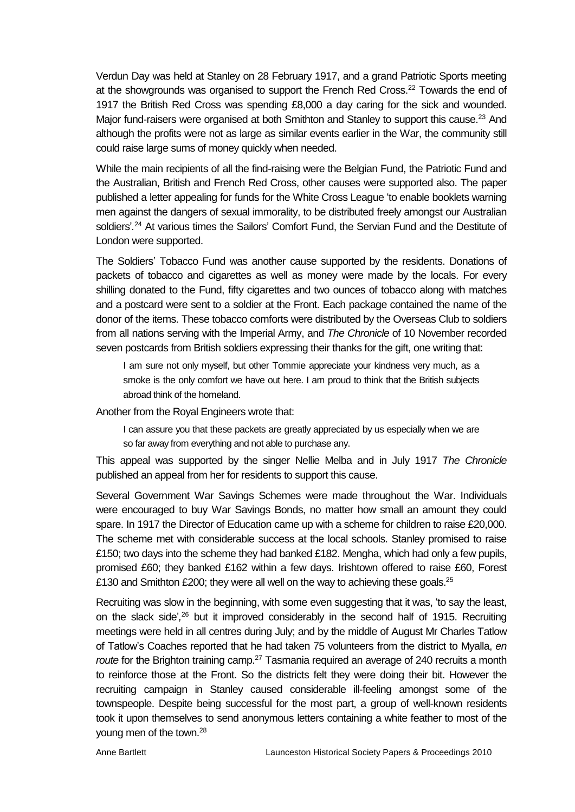Verdun Day was held at Stanley on 28 February 1917, and a grand Patriotic Sports meeting at the showgrounds was organised to support the French Red Cross.<sup>22</sup> Towards the end of 1917 the British Red Cross was spending £8,000 a day caring for the sick and wounded. Major fund-raisers were organised at both Smithton and Stanley to support this cause.<sup>23</sup> And although the profits were not as large as similar events earlier in the War, the community still could raise large sums of money quickly when needed.

While the main recipients of all the find-raising were the Belgian Fund, the Patriotic Fund and the Australian, British and French Red Cross, other causes were supported also. The paper published a letter appealing for funds for the White Cross League 'to enable booklets warning men against the dangers of sexual immorality, to be distributed freely amongst our Australian soldiers'*.* <sup>24</sup> At various times the Sailors' Comfort Fund, the Servian Fund and the Destitute of London were supported.

The Soldiers' Tobacco Fund was another cause supported by the residents. Donations of packets of tobacco and cigarettes as well as money were made by the locals. For every shilling donated to the Fund, fifty cigarettes and two ounces of tobacco along with matches and a postcard were sent to a soldier at the Front. Each package contained the name of the donor of the items. These tobacco comforts were distributed by the Overseas Club to soldiers from all nations serving with the Imperial Army, and *The Chronicle* of 10 November recorded seven postcards from British soldiers expressing their thanks for the gift, one writing that:

I am sure not only myself, but other Tommie appreciate your kindness very much, as a smoke is the only comfort we have out here. I am proud to think that the British subjects abroad think of the homeland.

Another from the Royal Engineers wrote that:

I can assure you that these packets are greatly appreciated by us especially when we are so far away from everything and not able to purchase any.

This appeal was supported by the singer Nellie Melba and in July 1917 *The Chronicle* published an appeal from her for residents to support this cause.

Several Government War Savings Schemes were made throughout the War. Individuals were encouraged to buy War Savings Bonds, no matter how small an amount they could spare. In 1917 the Director of Education came up with a scheme for children to raise £20,000. The scheme met with considerable success at the local schools. Stanley promised to raise £150; two days into the scheme they had banked £182. Mengha, which had only a few pupils, promised £60; they banked £162 within a few days. Irishtown offered to raise £60, Forest £130 and Smithton £200; they were all well on the way to achieving these goals.<sup>25</sup>

Recruiting was slow in the beginning, with some even suggesting that it was, 'to say the least, on the slack side'*,* <sup>26</sup> but it improved considerably in the second half of 1915. Recruiting meetings were held in all centres during July; and by the middle of August Mr Charles Tatlow of Tatlow's Coaches reported that he had taken 75 volunteers from the district to Myalla, *en route* for the Brighton training camp.<sup>27</sup> Tasmania required an average of 240 recruits a month to reinforce those at the Front. So the districts felt they were doing their bit. However the recruiting campaign in Stanley caused considerable ill-feeling amongst some of the townspeople. Despite being successful for the most part, a group of well-known residents took it upon themselves to send anonymous letters containing a white feather to most of the young men of the town.<sup>28</sup>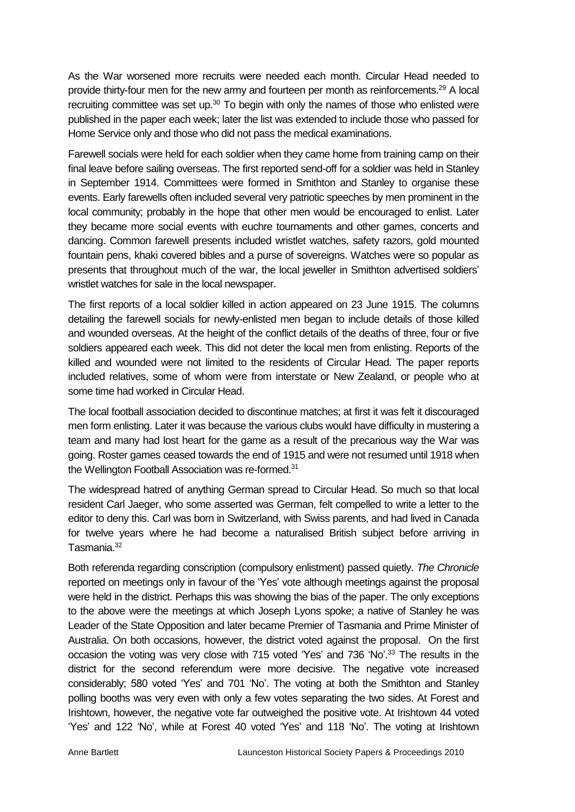As the War worsened more recruits were needed each month. Circular Head needed to provide thirty-four men for the new army and fourteen per month as reinforcements.<sup>29</sup> A local recruiting committee was set up.<sup>30</sup> To begin with only the names of those who enlisted were published in the paper each week; later the list was extended to include those who passed for Home Service only and those who did not pass the medical examinations.

Farewell socials were held for each soldier when they came home from training camp on their final leave before sailing overseas. The first reported send-off for a soldier was held in Stanley in September 1914. Committees were formed in Smithton and Stanley to organise these events. Early farewells often included several very patriotic speeches by men prominent in the local community; probably in the hope that other men would be encouraged to enlist. Later they became more social events with euchre tournaments and other games, concerts and dancing. Common farewell presents included wristlet watches, safety razors, gold mounted fountain pens, khaki covered bibles and a purse of sovereigns. Watches were so popular as presents that throughout much of the war, the local jeweller in Smithton advertised soldiers' wristlet watches for sale in the local newspaper.

The first reports of a local soldier killed in action appeared on 23 June 1915. The columns detailing the farewell socials for newly-enlisted men began to include details of those killed and wounded overseas. At the height of the conflict details of the deaths of three, four or five soldiers appeared each week. This did not deter the local men from enlisting. Reports of the killed and wounded were not limited to the residents of Circular Head. The paper reports included relatives, some of whom were from interstate or New Zealand, or people who at some time had worked in Circular Head.

The local football association decided to discontinue matches; at first it was felt it discouraged men form enlisting. Later it was because the various clubs would have difficulty in mustering a team and many had lost heart for the game as a result of the precarious way the War was going. Roster games ceased towards the end of 1915 and were not resumed until 1918 when the Wellington Football Association was re-formed.<sup>31</sup>

The widespread hatred of anything German spread to Circular Head. So much so that local resident Carl Jaeger, who some asserted was German, felt compelled to write a letter to the editor to deny this. Carl was born in Switzerland, with Swiss parents, and had lived in Canada for twelve years where he had become a naturalised British subject before arriving in Tasmania.<sup>32</sup>

Both referenda regarding conscription (compulsory enlistment) passed quietly. *The Chronicle* reported on meetings only in favour of the 'Yes' vote although meetings against the proposal were held in the district. Perhaps this was showing the bias of the paper. The only exceptions to the above were the meetings at which Joseph Lyons spoke; a native of Stanley he was Leader of the State Opposition and later became Premier of Tasmania and Prime Minister of Australia. On both occasions, however, the district voted against the proposal. On the first occasion the voting was very close with 715 voted 'Yes' and 736 'No'.<sup>33</sup> The results in the district for the second referendum were more decisive. The negative vote increased considerably; 580 voted 'Yes' and 701 'No'. The voting at both the Smithton and Stanley polling booths was very even with only a few votes separating the two sides. At Forest and Irishtown, however, the negative vote far outweighed the positive vote. At Irishtown 44 voted 'Yes' and 122 'No', while at Forest 40 voted 'Yes' and 118 'No'. The voting at Irishtown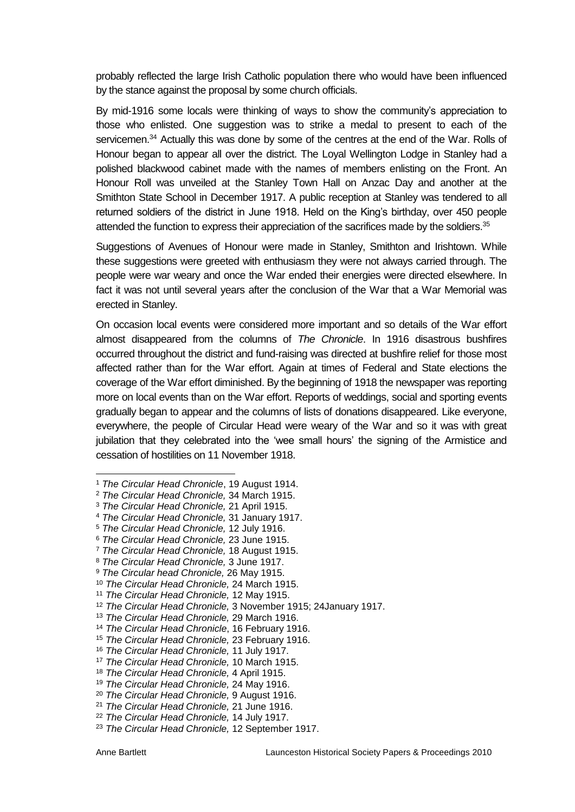probably reflected the large Irish Catholic population there who would have been influenced by the stance against the proposal by some church officials.

By mid-1916 some locals were thinking of ways to show the community's appreciation to those who enlisted. One suggestion was to strike a medal to present to each of the servicemen.<sup>34</sup> Actually this was done by some of the centres at the end of the War. Rolls of Honour began to appear all over the district. The Loyal Wellington Lodge in Stanley had a polished blackwood cabinet made with the names of members enlisting on the Front. An Honour Roll was unveiled at the Stanley Town Hall on Anzac Day and another at the Smithton State School in December 1917. A public reception at Stanley was tendered to all returned soldiers of the district in June 1918. Held on the King's birthday, over 450 people attended the function to express their appreciation of the sacrifices made by the soldiers.<sup>35</sup>

Suggestions of Avenues of Honour were made in Stanley, Smithton and Irishtown. While these suggestions were greeted with enthusiasm they were not always carried through. The people were war weary and once the War ended their energies were directed elsewhere. In fact it was not until several years after the conclusion of the War that a War Memorial was erected in Stanley.

On occasion local events were considered more important and so details of the War effort almost disappeared from the columns of *The Chronicle*. In 1916 disastrous bushfires occurred throughout the district and fund-raising was directed at bushfire relief for those most affected rather than for the War effort. Again at times of Federal and State elections the coverage of the War effort diminished. By the beginning of 1918 the newspaper was reporting more on local events than on the War effort. Reports of weddings, social and sporting events gradually began to appear and the columns of lists of donations disappeared. Like everyone, everywhere, the people of Circular Head were weary of the War and so it was with great jubilation that they celebrated into the 'wee small hours' the signing of the Armistice and cessation of hostilities on 11 November 1918.

- 1 <sup>1</sup> *The Circular Head Chronicle*, 19 August 1914.
- <sup>2</sup> *The Circular Head Chronicle,* 34 March 1915.
- <sup>3</sup> *The Circular Head Chronicle,* 21 April 1915.
- <sup>4</sup> *The Circular Head Chronicle,* 31 January 1917.
- <sup>5</sup> *The Circular Head Chronicle,* 12 July 1916.
- <sup>6</sup> *The Circular Head Chronicle,* 23 June 1915.
- <sup>7</sup> *The Circular Head Chronicle,* 18 August 1915.
- <sup>8</sup> *The Circular Head Chronicle,* 3 June 1917.
- <sup>9</sup> *The Circular head Chronicle,* 26 May 1915.

<sup>11</sup> *The Circular Head Chronicle,* 12 May 1915.

<sup>16</sup> *The Circular Head Chronicle,* 11 July 1917.

<sup>10</sup> *The Circular Head Chronicle,* 24 March 1915.

<sup>12</sup> *The Circular Head Chronicle,* 3 November 1915; 24January 1917.

<sup>13</sup> *The Circular Head Chronicle,* 29 March 1916.

<sup>14</sup> *The Circular Head Chronicle*, 16 February 1916.

<sup>15</sup> *The Circular Head Chronicle,* 23 February 1916.

<sup>17</sup> *The Circular Head Chronicle,* 10 March 1915.

<sup>18</sup> *The Circular Head Chronicle,* 4 April 1915.

<sup>19</sup> *The Circular Head Chronicle,* 24 May 1916.

<sup>20</sup> *The Circular Head Chronicle,* 9 August 1916.

<sup>21</sup> *The Circular Head Chronicle,* 21 June 1916.

<sup>22</sup> *The Circular Head Chronicle,* 14 July 1917.

<sup>23</sup> *The Circular Head Chronicle,* 12 September 1917.